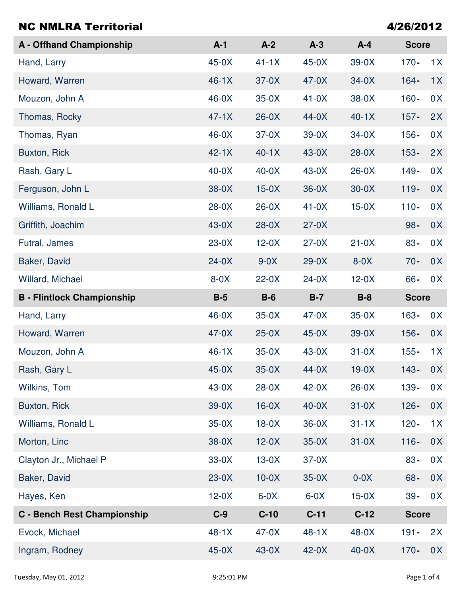| <b>NC NMLRA Territorial</b>        |         |         |         |         | 4/26/2012    |                |
|------------------------------------|---------|---------|---------|---------|--------------|----------------|
| <b>A</b> - Offhand Championship    | $A-1$   | $A-2$   | $A-3$   | $A-4$   | <b>Score</b> |                |
| Hand, Larry                        | $45-0X$ | $41-1X$ | $45-0X$ | $39-0X$ | $170 -$      | 1X             |
| Howard, Warren                     | $46-1X$ | $37-0X$ | $47-0X$ | $34-0X$ | $164 -$      | 1X             |
| Mouzon, John A                     | $46-0X$ | $35-0X$ | $41-0X$ | 38-0X   | $160 -$      | 0 <sub>X</sub> |
| Thomas, Rocky                      | $47-1X$ | $26-0X$ | $44-0X$ | $40-1X$ | $157 -$      | 2X             |
| Thomas, Ryan                       | $46-0X$ | $37-0X$ | $39-0X$ | $34-0X$ | $156 -$      | 0 <sub>X</sub> |
| Buxton, Rick                       | $42-1X$ | $40-1X$ | $43-0X$ | $28-0X$ | $153 -$      | 2X             |
| Rash, Gary L                       | $40-0X$ | $40-0X$ | $43-0X$ | $26-0X$ | $149 -$      | 0X             |
| Ferguson, John L                   | $38-0X$ | $15-0X$ | $36-0X$ | $30-0X$ | $119 -$      | 0X             |
| Williams, Ronald L                 | $28-0X$ | $26-0X$ | $41-0X$ | $15-0X$ | $110 -$      | 0X             |
| Griffith, Joachim                  | $43-0X$ | $28-0X$ | $27-0X$ |         | $98 -$       | 0X             |
| Futral, James                      | $23-0X$ | $12-0X$ | $27-0X$ | $21-0X$ | $83 -$       | 0X             |
| Baker, David                       | $24-0X$ | $9-0X$  | $29-0X$ | $8-0X$  | $70 -$       | 0X             |
| Willard, Michael                   | $8-0X$  | $22-0X$ | $24-0X$ | $12-0X$ | 66-          | 0 <sup>X</sup> |
| <b>B</b> - Flintlock Championship  | $B-5$   | $B-6$   | $B-7$   | $B-8$   | <b>Score</b> |                |
| Hand, Larry                        | $46-0X$ | $35-0X$ | $47-0X$ | $35-0X$ | $163 -$      | 0X             |
| Howard, Warren                     | $47-0X$ | $25-0X$ | $45-0X$ | $39-0X$ | $156 -$      | 0 <sup>X</sup> |
| Mouzon, John A                     | $46-1X$ | $35-0X$ | $43-0X$ | $31-0X$ | $155 -$      | 1X             |
| Rash, Gary L                       | $45-0X$ | $35-0X$ | $44-0X$ | $19-0X$ | $143 -$      | 0X             |
| Wilkins, Tom                       | $43-0X$ | $28-0X$ | $42-0X$ | $26-0X$ | 139-         | 0X             |
| Buxton, Rick                       | $39-0X$ | $16-0X$ | $40-0X$ | $31-0X$ | $126 -$      | 0X             |
| Williams, Ronald L                 | $35-0X$ | $18-0X$ | $36-0X$ | $31-1X$ | $120 -$      | 1X             |
| Morton, Linc                       | $38-0X$ | $12-0X$ | $35-0X$ | $31-0X$ | $116 -$      | 0X             |
| Clayton Jr., Michael P             | $33-0X$ | $13-0X$ | $37-0X$ |         | $83 -$       | 0X             |
| Baker, David                       | $23-0X$ | $10-0X$ | $35-0X$ | $0-0X$  | $68 -$       | 0X             |
| Hayes, Ken                         | $12-0X$ | $6-0X$  | $6-0X$  | $15-0X$ | $39 -$       | 0X             |
| <b>C</b> - Bench Rest Championship | $C-9$   | $C-10$  | $C-11$  | $C-12$  | <b>Score</b> |                |
| Evock, Michael                     | $48-1X$ | $47-0X$ | $48-1X$ | 48-0X   | $191 -$      | 2X             |
| Ingram, Rodney                     | $45-0X$ | $43-0X$ | $42-0X$ | $40-0X$ | $170 -$      | 0X             |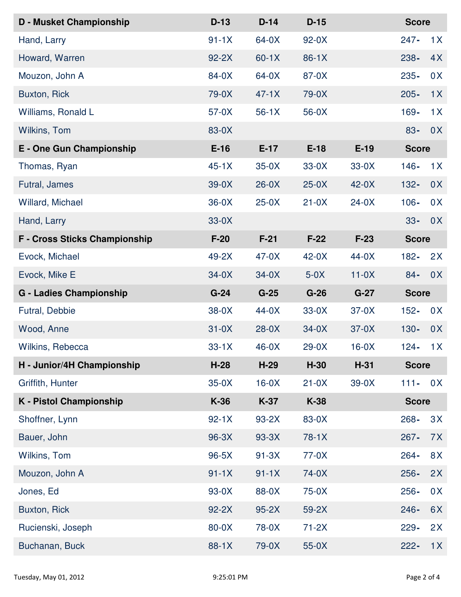| <b>D - Musket Championship</b> | $D-13$  | $D-14$  | $D-15$  |         | <b>Score</b> |                |  |
|--------------------------------|---------|---------|---------|---------|--------------|----------------|--|
| Hand, Larry                    | $91-1X$ | $64-0X$ | $92-0X$ |         | $247 -$      | 1X             |  |
| Howard, Warren                 | $92-2X$ | $60-1X$ | $86-1X$ |         | $238 -$      | 4X             |  |
| Mouzon, John A                 | 84-0X   | 64-0X   | 87-0X   |         | $235 -$      | 0 <sup>X</sup> |  |
| Buxton, Rick                   | 79-0X   | $47-1X$ | 79-0X   |         | $205 -$      | 1X             |  |
| Williams, Ronald L             | $57-0X$ | $56-1X$ | $56-0X$ |         | $169 -$      | 1X             |  |
| Wilkins, Tom                   | 83-0X   |         |         |         | $83 -$       | 0 <sup>X</sup> |  |
| E - One Gun Championship       | $E-16$  | $E-17$  | $E-18$  | $E-19$  |              | <b>Score</b>   |  |
| Thomas, Ryan                   | $45-1X$ | $35-0X$ | $33-0X$ | $33-0X$ | $146 -$      | 1X             |  |
| Futral, James                  | $39-0X$ | $26-0X$ | $25-0X$ | $42-0X$ | $132 -$      | 0X             |  |
| Willard, Michael               | $36-0X$ | $25-0X$ | $21-0X$ | $24-0X$ | $106 -$      | 0X             |  |
| Hand, Larry                    | $33-0X$ |         |         |         | $33 -$       | 0X             |  |
| F - Cross Sticks Championship  | $F-20$  | $F-21$  | $F-22$  | $F-23$  |              | <b>Score</b>   |  |
| Evock, Michael                 | 49-2X   | $47-0X$ | $42-0X$ | $44-0X$ | $182 -$      | 2X             |  |
| Evock, Mike E                  | $34-0X$ | $34-0X$ | $5-0X$  | $11-0X$ | $84 -$       | 0X             |  |
| <b>G - Ladies Championship</b> | $G-24$  | $G-25$  | $G-26$  | $G-27$  |              | <b>Score</b>   |  |
| Futral, Debbie                 | $38-0X$ | $44-0X$ | $33-0X$ | $37-0X$ | $152 -$      | 0 <sup>X</sup> |  |
| Wood, Anne                     | $31-0X$ | $28-0X$ | $34-0X$ | $37-0X$ | $130 -$      | 0X             |  |
| Wilkins, Rebecca               | $33-1X$ | $46-0X$ | $29-0X$ | $16-0X$ | $124 -$      | 1X             |  |
| H - Junior/4H Championship     | $H-28$  | $H-29$  | $H-30$  | $H-31$  |              | <b>Score</b>   |  |
| Griffith, Hunter               | $35-0X$ | $16-0X$ | $21-0X$ | $39-0X$ | $111 -$      | 0 <sup>X</sup> |  |
| <b>K</b> - Pistol Championship | K-36    | $K-37$  | K-38    |         |              | <b>Score</b>   |  |
| Shoffner, Lynn                 | $92-1X$ | $93-2X$ | 83-0X   |         | 268-         | 3X             |  |
| Bauer, John                    | 96-3X   | $93-3X$ | $78-1X$ |         | $267 -$      | 7X             |  |
| Wilkins, Tom                   | $96-5X$ | $91-3X$ | $77-0X$ |         | $264 -$      | 8X             |  |
| Mouzon, John A                 | $91-1X$ | $91-1X$ | 74-0X   |         | $256 -$      | 2X             |  |
| Jones, Ed                      | 93-0X   | 88-0X   | 75-0X   |         | $256 -$      | 0 <sup>X</sup> |  |
| Buxton, Rick                   | $92-2X$ | $95-2X$ | $59-2X$ |         | $246 -$      | 6X             |  |
| Rucienski, Joseph              | 80-0X   | 78-0X   | $71-2X$ |         | $229 -$      | 2X             |  |
| Buchanan, Buck                 | 88-1X   | 79-0X   | $55-0X$ |         | $222 -$      | 1X             |  |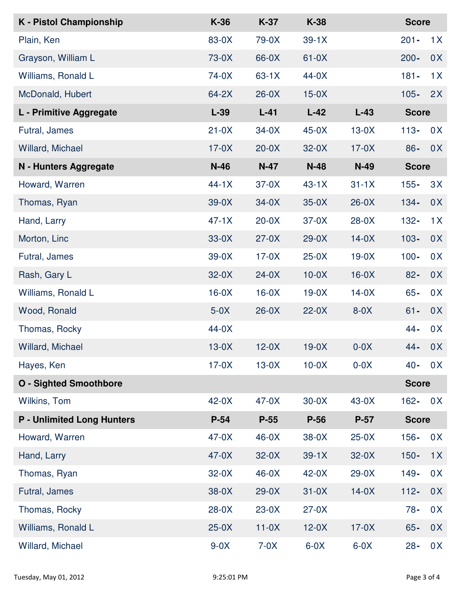| <b>K</b> - Pistol Championship    | K-36    | $K-37$  | K-38    |         | <b>Score</b> |                |
|-----------------------------------|---------|---------|---------|---------|--------------|----------------|
| Plain, Ken                        | 83-0X   | 79-0X   | $39-1X$ |         | $201 -$      | 1X             |
| Grayson, William L                | 73-0X   | 66-0X   | $61-0X$ |         | $200 -$      | 0X             |
| Williams, Ronald L                | 74-0X   | $63-1X$ | $44-0X$ |         | $181 -$      | 1X             |
| McDonald, Hubert                  | $64-2X$ | $26-0X$ | $15-0X$ |         | $105 -$      | 2X             |
| L - Primitive Aggregate           | $L-39$  | $L-41$  | $L-42$  | $L-43$  | <b>Score</b> |                |
| Futral, James                     | $21-0X$ | $34-0X$ | $45-0X$ | $13-0X$ | $113 -$      | 0 <sup>X</sup> |
| Willard, Michael                  | $17-0X$ | $20-0X$ | $32-0X$ | $17-0X$ | $86 -$       | 0 <sup>X</sup> |
| N - Hunters Aggregate             | $N-46$  | $N-47$  | $N-48$  | $N-49$  | <b>Score</b> |                |
| Howard, Warren                    | $44-1X$ | $37-0X$ | $43-1X$ | $31-1X$ | $155 -$      | 3X             |
| Thomas, Ryan                      | $39-0X$ | $34-0X$ | $35-0X$ | $26-0X$ | $134 -$      | 0X             |
| Hand, Larry                       | $47-1X$ | $20-0X$ | $37-0X$ | $28-0X$ | $132 -$      | 1X             |
| Morton, Linc                      | $33-0X$ | $27-0X$ | $29-0X$ | $14-0X$ | $103 -$      | 0X             |
| Futral, James                     | 39-0X   | $17-0X$ | $25-0X$ | $19-0X$ | $100 -$      | 0 <sup>X</sup> |
| Rash, Gary L                      | $32-0X$ | $24-0X$ | $10-0X$ | $16-0X$ | $82 -$       | 0X             |
| Williams, Ronald L                | $16-0X$ | $16-0X$ | $19-0X$ | $14-0X$ | $65 -$       | 0 <sup>X</sup> |
| Wood, Ronald                      | $5-0X$  | $26-0X$ | $22-0X$ | $8-0X$  | $61 -$       | 0X             |
| Thomas, Rocky                     | $44-0X$ |         |         |         | $44 -$       | 0 <sup>X</sup> |
| <b>Willard, Michael</b>           | $13-0X$ | $12-0X$ | $19-0X$ | $0-0X$  | $44 -$       | 0X             |
| Hayes, Ken                        | $17-0X$ | $13-0X$ | $10-0X$ | $0-0X$  | $40 -$       | 0 <sup>X</sup> |
| <b>O</b> - Sighted Smoothbore     |         |         |         |         | <b>Score</b> |                |
| Wilkins, Tom                      | $42-0X$ | $47-0X$ | $30-0X$ | $43-0X$ | $162 -$      | 0 <sup>X</sup> |
| <b>P - Unlimited Long Hunters</b> | $P-54$  | $P-55$  | $P-56$  | $P-57$  | <b>Score</b> |                |
| Howard, Warren                    | $47-0X$ | $46-0X$ | $38-0X$ | $25-0X$ | $156 -$      | 0 <sup>X</sup> |
| Hand, Larry                       | $47-0X$ | $32-0X$ | $39-1X$ | $32-0X$ | $150 -$      | 1X             |
| Thomas, Ryan                      | $32-0X$ | $46-0X$ | $42-0X$ | $29-0X$ | $149 -$      | 0 <sup>X</sup> |
| Futral, James                     | 38-0X   | $29-0X$ | $31-0X$ | $14-0X$ | $112 -$      | 0X             |
| Thomas, Rocky                     | $28-0X$ | $23-0X$ | $27-0X$ |         | $78 -$       | 0X             |
| Williams, Ronald L                | $25-0X$ | $11-0X$ | $12-0X$ | $17-0X$ | $65 -$       | 0X             |
| Willard, Michael                  | $9-0X$  | $7-0X$  | $6-0X$  | $6-0X$  | $28 -$       | 0X             |